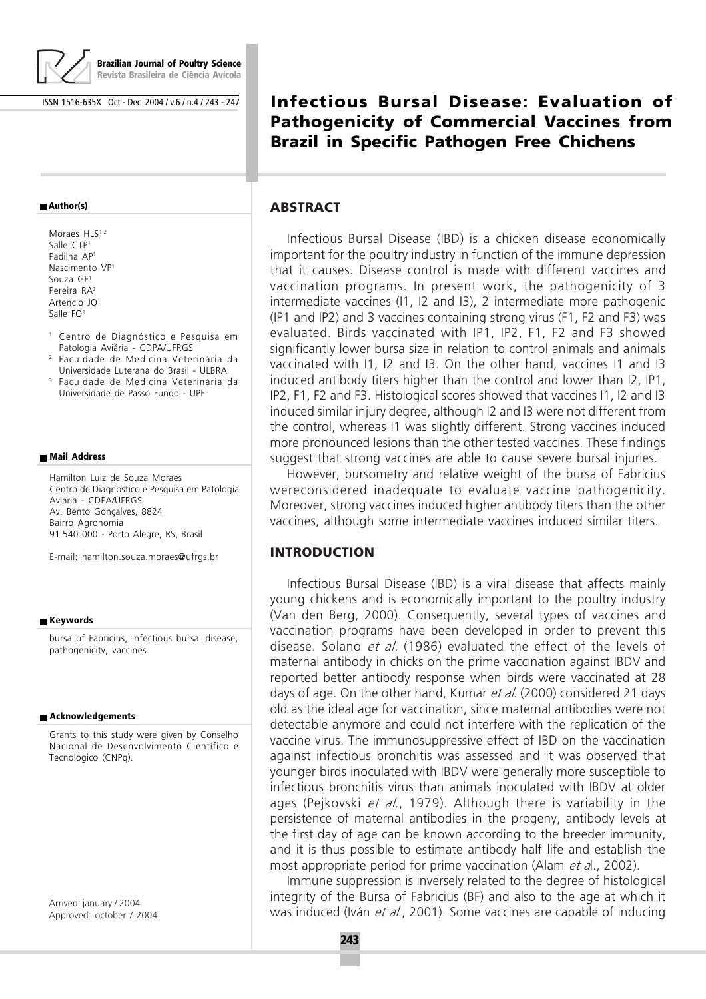

**Brazilian Journal of Poultry Science Revista Brasileira de Ciência Avícola**

ISSN 1516-635X Oct - Dec 2004 / v.6 / n.4 / 243 - 247

#### **Author(s)**

- Moraes HLS<sup>1,2</sup> Salle CTP1 Padilha AP1 Nascimento VP1 Souza GF1 Pereira RA3 Artencio JO1 Salle FO<sup>1</sup>
- <sup>1</sup> Centro de Diagnóstico e Pesquisa em Patologia Aviária - CDPA/UFRGS
- <sup>2</sup> Faculdade de Medicina Veterinária da Universidade Luterana do Brasil - ULBRA
- <sup>3</sup> Faculdade de Medicina Veterinária da Universidade de Passo Fundo - UPF

#### **Mail Address**

Hamilton Luiz de Souza Moraes Centro de Diagnóstico e Pesquisa em Patologia Aviária - CDPA/UFRGS Av. Bento Gonçalves, 8824 Bairro Agronomia 91.540 000 - Porto Alegre, RS, Brasil

E-mail: hamilton.souza.moraes@ufrgs.br

#### **Keywords**

bursa of Fabricius, infectious bursal disease, pathogenicity, vaccines.

#### **Acknowledgements**

Grants to this study were given by Conselho Nacional de Desenvolvimento Científico e Tecnológico (CNPq).

Arrived: january / 2004 Approved: october / 2004

# **Infectious Bursal Disease: Evaluation of Pathogenicity of Commercial Vaccines from Brazil in Specific Pathogen Free Chichens**

#### **ABSTRACT**

Infectious Bursal Disease (IBD) is a chicken disease economically important for the poultry industry in function of the immune depression that it causes. Disease control is made with different vaccines and vaccination programs. In present work, the pathogenicity of 3 intermediate vaccines (I1, I2 and I3), 2 intermediate more pathogenic (IP1 and IP2) and 3 vaccines containing strong virus (F1, F2 and F3) was evaluated. Birds vaccinated with IP1, IP2, F1, F2 and F3 showed significantly lower bursa size in relation to control animals and animals vaccinated with I1, I2 and I3. On the other hand, vaccines I1 and I3 induced antibody titers higher than the control and lower than I2, IP1, IP2, F1, F2 and F3. Histological scores showed that vaccines I1, I2 and I3 induced similar injury degree, although I2 and I3 were not different from the control, whereas I1 was slightly different. Strong vaccines induced more pronounced lesions than the other tested vaccines. These findings suggest that strong vaccines are able to cause severe bursal injuries.

However, bursometry and relative weight of the bursa of Fabricius wereconsidered inadequate to evaluate vaccine pathogenicity. Moreover, strong vaccines induced higher antibody titers than the other vaccines, although some intermediate vaccines induced similar titers.

#### **INTRODUCTION**

Infectious Bursal Disease (IBD) is a viral disease that affects mainly young chickens and is economically important to the poultry industry (Van den Berg, 2000). Consequently, several types of vaccines and vaccination programs have been developed in order to prevent this disease. Solano *et al.* (1986) evaluated the effect of the levels of maternal antibody in chicks on the prime vaccination against IBDV and reported better antibody response when birds were vaccinated at 28 days of age. On the other hand, Kumar et al. (2000) considered 21 days old as the ideal age for vaccination, since maternal antibodies were not detectable anymore and could not interfere with the replication of the vaccine virus. The immunosuppressive effect of IBD on the vaccination against infectious bronchitis was assessed and it was observed that younger birds inoculated with IBDV were generally more susceptible to infectious bronchitis virus than animals inoculated with IBDV at older ages (Pejkovski et al., 1979). Although there is variability in the persistence of maternal antibodies in the progeny, antibody levels at the first day of age can be known according to the breeder immunity, and it is thus possible to estimate antibody half life and establish the most appropriate period for prime vaccination (Alam *et al.*, 2002).

Immune suppression is inversely related to the degree of histological integrity of the Bursa of Fabricius (BF) and also to the age at which it was induced (Iván et al., 2001). Some vaccines are capable of inducing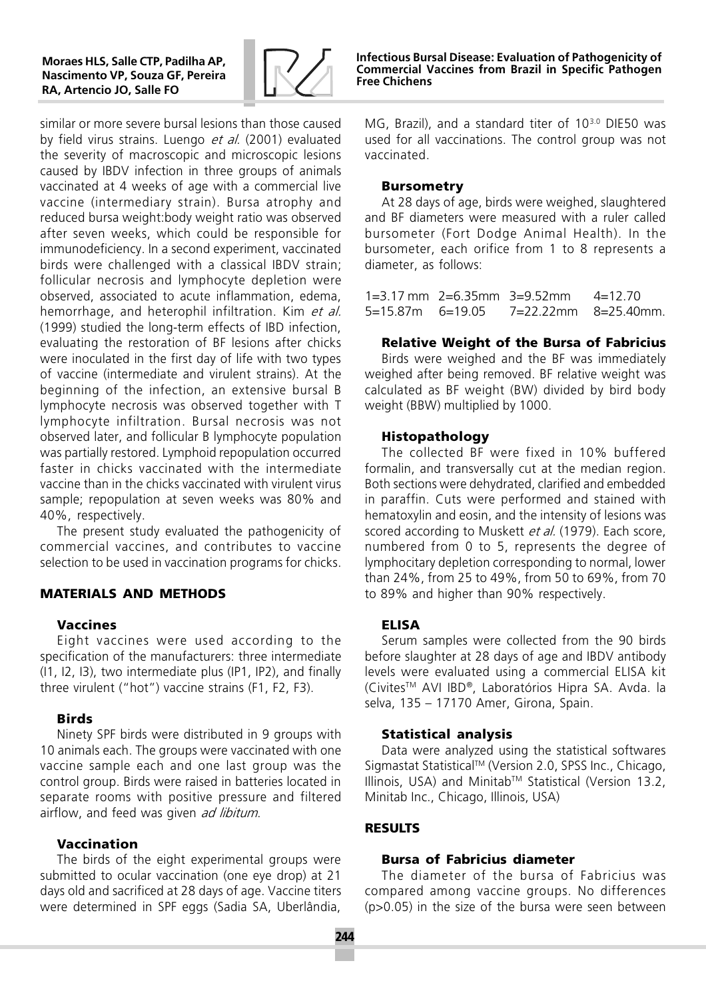

similar or more severe bursal lesions than those caused by field virus strains. Luengo et al. (2001) evaluated the severity of macroscopic and microscopic lesions caused by IBDV infection in three groups of animals vaccinated at 4 weeks of age with a commercial live vaccine (intermediary strain). Bursa atrophy and reduced bursa weight:body weight ratio was observed after seven weeks, which could be responsible for immunodeficiency. In a second experiment, vaccinated birds were challenged with a classical IBDV strain; follicular necrosis and lymphocyte depletion were observed, associated to acute inflammation, edema, hemorrhage, and heterophil infiltration. Kim et al. (1999) studied the long-term effects of IBD infection, evaluating the restoration of BF lesions after chicks were inoculated in the first day of life with two types of vaccine (intermediate and virulent strains). At the beginning of the infection, an extensive bursal B lymphocyte necrosis was observed together with T lymphocyte infiltration. Bursal necrosis was not observed later, and follicular B lymphocyte population was partially restored. Lymphoid repopulation occurred faster in chicks vaccinated with the intermediate vaccine than in the chicks vaccinated with virulent virus sample; repopulation at seven weeks was 80% and 40%, respectively.

The present study evaluated the pathogenicity of commercial vaccines, and contributes to vaccine selection to be used in vaccination programs for chicks.

# **MATERIALS AND METHODS**

#### **Vaccines**

Eight vaccines were used according to the specification of the manufacturers: three intermediate (I1, I2, I3), two intermediate plus (IP1, IP2), and finally three virulent ("hot") vaccine strains (F1, F2, F3).

#### **Birds**

Ninety SPF birds were distributed in 9 groups with 10 animals each. The groups were vaccinated with one vaccine sample each and one last group was the control group. Birds were raised in batteries located in separate rooms with positive pressure and filtered airflow, and feed was given ad libitum.

#### **Vaccination**

The birds of the eight experimental groups were submitted to ocular vaccination (one eye drop) at 21 days old and sacrificed at 28 days of age. Vaccine titers were determined in SPF eggs (Sadia SA, Uberlândia,

Infectious Bursal Disease: Evaluation of Pathogenicity of Commercial Vaccines from Brazil in Specific Pathogen Free Chichens

MG, Brazil), and a standard titer of 10<sup>3.0</sup> DIE50 was used for all vaccinations. The control group was not vaccinated.

#### **Bursometry**

At 28 days of age, birds were weighed, slaughtered and BF diameters were measured with a ruler called bursometer (Fort Dodge Animal Health). In the bursometer, each orifice from 1 to 8 represents a diameter, as follows:

1=3.17 mm 2=6.35mm 3=9.52mm 4=12.70 5=15.87m 6=19.05 7=22.22mm 8=25.40mm.

#### **Relative Weight of the Bursa of Fabricius**

Birds were weighed and the BF was immediately weighed after being removed. BF relative weight was calculated as BF weight (BW) divided by bird body weight (BBW) multiplied by 1000.

#### **Histopathology**

The collected BF were fixed in 10% buffered formalin, and transversally cut at the median region. Both sections were dehydrated, clarified and embedded in paraffin. Cuts were performed and stained with hematoxylin and eosin, and the intensity of lesions was scored according to Muskett et al. (1979). Each score, numbered from 0 to 5, represents the degree of lymphocitary depletion corresponding to normal, lower than 24%, from 25 to 49%, from 50 to 69%, from 70 to 89% and higher than 90% respectively.

#### **ELISA**

Serum samples were collected from the 90 birds before slaughter at 28 days of age and IBDV antibody levels were evaluated using a commercial ELISA kit (CivitesTM AVI IBD®, Laboratórios Hipra SA. Avda. la selva, 135 - 17170 Amer, Girona, Spain.

#### **Statistical analysis**

Data were analyzed using the statistical softwares Sigmastat StatisticalTM (Version 2.0, SPSS Inc., Chicago, Illinois, USA) and MinitabTM Statistical (Version 13.2, Minitab Inc., Chicago, Illinois, USA)

#### **RESULTS**

#### **Bursa of Fabricius diameter**

The diameter of the bursa of Fabricius was compared among vaccine groups. No differences (p>0.05) in the size of the bursa were seen between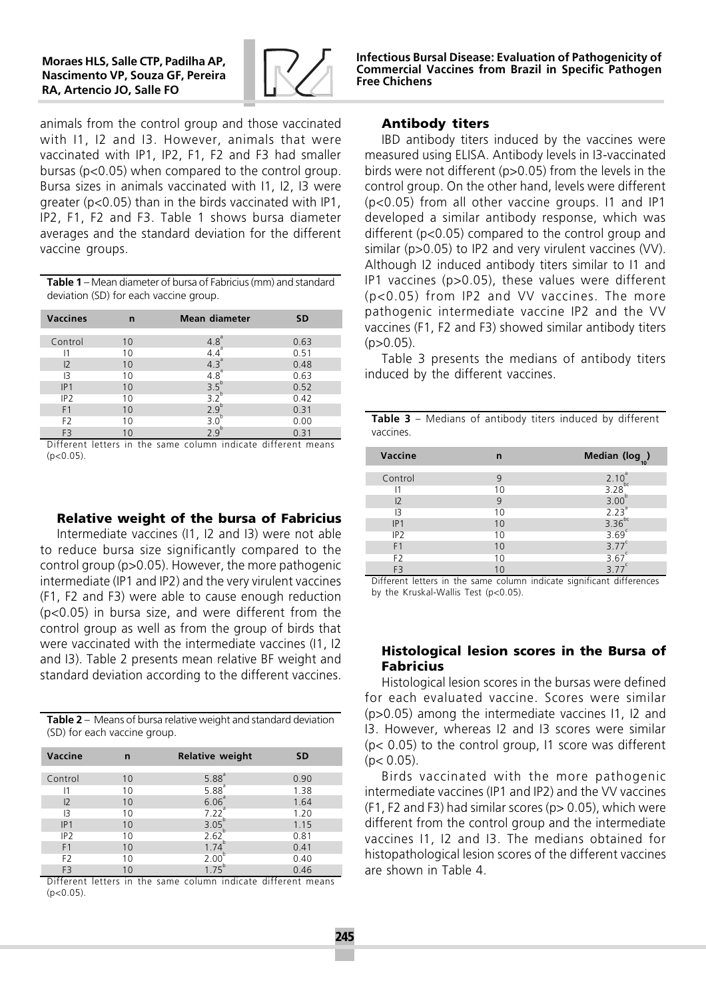

Infectious Bursal Disease: Evaluation of Pathogenicity of Commercial Vaccines from Brazil in Specific Pathogen Free Chichens

animals from the control group and those vaccinated with I1, I2 and I3. However, animals that were vaccinated with IP1, IP2, F1, F2 and F3 had smaller bursas (p<0.05) when compared to the control group. Bursa sizes in animals vaccinated with I1, I2, I3 were greater ( $p < 0.05$ ) than in the birds vaccinated with IP1, IP2, F1, F2 and F3. Table 1 shows bursa diameter averages and the standard deviation for the different vaccine groups.

**Table 1** – Mean diameter of bursa of Fabricius (mm) and standard deviation (SD) for each vaccine group.

| <b>Vaccines</b> | n  | <b>Mean diameter</b> | <b>SD</b> |
|-----------------|----|----------------------|-----------|
|                 |    |                      |           |
| Control         | 10 | 4.8 <sup>a</sup>     | 0.63      |
|                 | 10 |                      | 0.51      |
| 12              | 10 | 4.3 <sup>a</sup>     | 0.48      |
| l3              | 10 | 4.8                  | 0.63      |
| IP1             | 10 | 3.5 <sup>6</sup>     | 0.52      |
| IP <sub>2</sub> | 10 | $\overline{3}$       | 0.42      |
| F <sub>1</sub>  | 10 | 2.9                  | 0.31      |
| F <sub>2</sub>  | 10 | 3 <sub>c</sub>       | 0.00      |
| F <sub>3</sub>  | 10 |                      | 0.31      |

Different letters in the same column indicate different means  $(n<0.05)$ 

#### **Relative weight of the bursa of Fabricius**

Intermediate vaccines (I1, I2 and I3) were not able to reduce bursa size significantly compared to the control group (p>0.05). However, the more pathogenic intermediate (IP1 and IP2) and the very virulent vaccines (F1, F2 and F3) were able to cause enough reduction (p<0.05) in bursa size, and were different from the control group as well as from the group of birds that were vaccinated with the intermediate vaccines (I1, I2 and I3). Table 2 presents mean relative BF weight and standard deviation according to the different vaccines.

**Table 2**  $-$  Means of bursa relative weight and standard deviation (SD) for each vaccine group.

| Vaccine         | n  | <b>Relative weight</b> | <b>SD</b> |
|-----------------|----|------------------------|-----------|
|                 |    |                        |           |
| Control         | 10 | 5.88 <sup>a</sup>      | 0.90      |
|                 | 10 | 5.88 <sup>a</sup>      | 1.38      |
| 12              | 10 | $6.06^{a}$             | 1.64      |
| IЗ              | 10 | 7.22 <sup>a</sup>      | 1.20      |
| IP1             | 10 | $3.05^{b}$             | 1.15      |
| IP <sub>2</sub> | 10 | 2.62 <sup>b</sup>      | 0.81      |
| F <sub>1</sub>  | 10 | 1.74                   | 0.41      |
| F <sub>2</sub>  | 10 | 2.00                   | 0.40      |
| F <sub>3</sub>  | 10 | 1 75                   | 0.46      |

Different letters in the same column indicate different means  $(n < 0.05)$ 

## **Antibody titers**

IBD antibody titers induced by the vaccines were measured using ELISA. Antibody levels in I3-vaccinated birds were not different (p>0.05) from the levels in the control group. On the other hand, levels were different (p<0.05) from all other vaccine groups. I1 and IP1 developed a similar antibody response, which was different (p<0.05) compared to the control group and similar (p>0.05) to IP2 and very virulent vaccines (VV). Although I2 induced antibody titers similar to I1 and IP1 vaccines (p>0.05), these values were different (p<0.05) from IP2 and VV vaccines. The more pathogenic intermediate vaccine IP2 and the VV vaccines (F1, F2 and F3) showed similar antibody titers  $(p>0.05)$ .

Table 3 presents the medians of antibody titers induced by the different vaccines.

| <b>Table 3</b> – Medians of antibody titers induced by different |  |  |  |  |
|------------------------------------------------------------------|--|--|--|--|
| vaccines.                                                        |  |  |  |  |

| Vaccine         | n  | Median (log)<br>10                                        |
|-----------------|----|-----------------------------------------------------------|
|                 |    |                                                           |
| Control         | 9  | $2.10^a$<br>3.28 <sup>bc</sup><br>3.00 <sup>b</sup>       |
| 11              | 10 |                                                           |
| 12              | 9  |                                                           |
| 13              | 10 |                                                           |
| IP1             | 10 | $2.23^{\circ}$<br>3.36 <sup>bc</sup><br>3.69 <sup>c</sup> |
| IP <sub>2</sub> | 10 |                                                           |
| F <sub>1</sub>  | 10 | 3.77 <sup>c</sup>                                         |
| F <sub>2</sub>  | 10 | 3.67                                                      |
| F <sub>3</sub>  | 10 | 3.77                                                      |

Different letters in the same column indicate significant differences by the Kruskal-Wallis Test (p<0.05).

### **Histological lesion scores in the Bursa of Fabricius**

Histological lesion scores in the bursas were defined for each evaluated vaccine. Scores were similar (p>0.05) among the intermediate vaccines I1, I2 and I3. However, whereas I2 and I3 scores were similar  $(p< 0.05)$  to the control group, 11 score was different  $(p < 0.05)$ .

Birds vaccinated with the more pathogenic intermediate vaccines (IP1 and IP2) and the VV vaccines  $(F1, F2$  and F3) had similar scores ( $p > 0.05$ ), which were different from the control group and the intermediate vaccines I1, I2 and I3. The medians obtained for histopathological lesion scores of the different vaccines are shown in Table 4.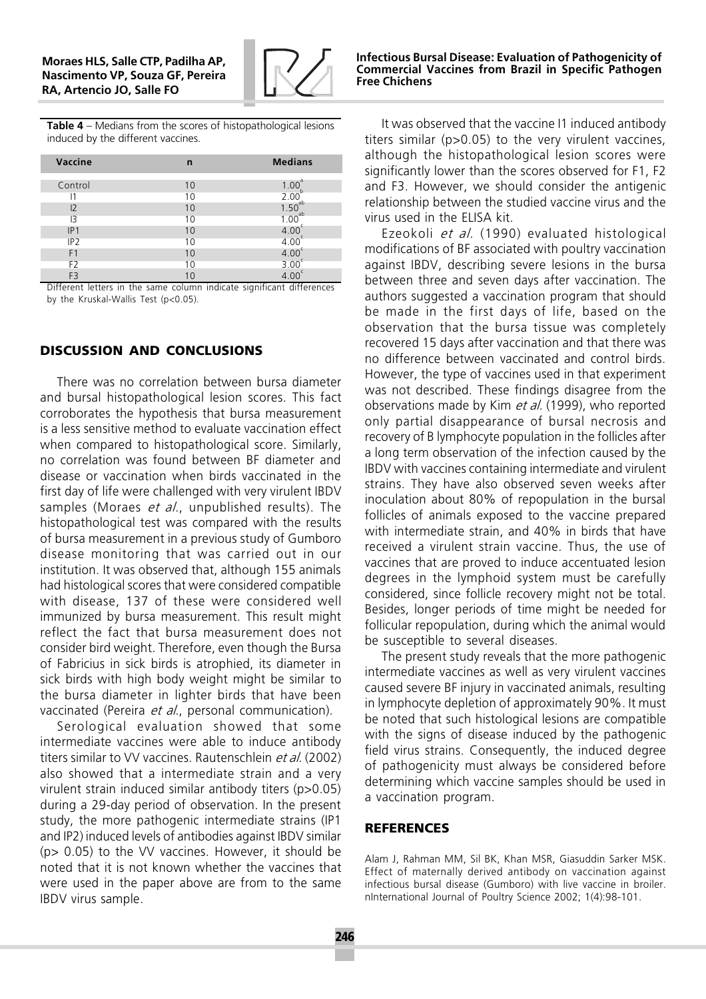

**Table 4**  $-$  Medians from the scores of histopathological lesions induced by the different vaccines.

| Vaccine         | n  | <b>Medians</b>                  |
|-----------------|----|---------------------------------|
| Control         | 10 | 1.00                            |
| 11              | 10 | 2.00                            |
| 12              | 10 | $1.50^{ab}_{ab}$<br>$1.00^{ab}$ |
| $\mathsf{I}3$   | 10 |                                 |
| IP1             | 10 | 4.00                            |
| IP <sub>2</sub> | 10 | 4.00                            |
| F <sub>1</sub>  | 10 | 4.00                            |
| F <sub>2</sub>  | 10 | 3.00                            |
| F <sub>3</sub>  | 10 |                                 |

Different letters in the same column indicate significant differences by the Kruskal-Wallis Test (p<0.05).

# **DISCUSSION AND CONCLUSIONS**

There was no correlation between bursa diameter and bursal histopathological lesion scores. This fact corroborates the hypothesis that bursa measurement is a less sensitive method to evaluate vaccination effect when compared to histopathological score. Similarly, no correlation was found between BF diameter and disease or vaccination when birds vaccinated in the first day of life were challenged with very virulent IBDV samples (Moraes *et al.*, unpublished results). The histopathological test was compared with the results of bursa measurement in a previous study of Gumboro disease monitoring that was carried out in our institution. It was observed that, although 155 animals had histological scores that were considered compatible with disease, 137 of these were considered well immunized by bursa measurement. This result might reflect the fact that bursa measurement does not consider bird weight. Therefore, even though the Bursa of Fabricius in sick birds is atrophied, its diameter in sick birds with high body weight might be similar to the bursa diameter in lighter birds that have been vaccinated (Pereira et al., personal communication).

Serological evaluation showed that some intermediate vaccines were able to induce antibody titers similar to VV vaccines. Rautenschlein et al. (2002) also showed that a intermediate strain and a very virulent strain induced similar antibody titers (p>0.05) during a 29-day period of observation. In the present study, the more pathogenic intermediate strains (IP1 and IP2) induced levels of antibodies against IBDV similar (p> 0.05) to the VV vaccines. However, it should be noted that it is not known whether the vaccines that were used in the paper above are from to the same IBDV virus sample.

It was observed that the vaccine I1 induced antibody titers similar (p>0.05) to the very virulent vaccines, although the histopathological lesion scores were significantly lower than the scores observed for F1, F2 and F3. However, we should consider the antigenic relationship between the studied vaccine virus and the virus used in the ELISA kit.

Ezeokoli et al. (1990) evaluated histological modifications of BF associated with poultry vaccination against IBDV, describing severe lesions in the bursa between three and seven days after vaccination. The authors suggested a vaccination program that should be made in the first days of life, based on the observation that the bursa tissue was completely recovered 15 days after vaccination and that there was no difference between vaccinated and control birds. However, the type of vaccines used in that experiment was not described. These findings disagree from the observations made by Kim et al. (1999), who reported only partial disappearance of bursal necrosis and recovery of B lymphocyte population in the follicles after a long term observation of the infection caused by the IBDV with vaccines containing intermediate and virulent strains. They have also observed seven weeks after inoculation about 80% of repopulation in the bursal follicles of animals exposed to the vaccine prepared with intermediate strain, and 40% in birds that have received a virulent strain vaccine. Thus, the use of vaccines that are proved to induce accentuated lesion degrees in the lymphoid system must be carefully considered, since follicle recovery might not be total. Besides, longer periods of time might be needed for follicular repopulation, during which the animal would be susceptible to several diseases.

The present study reveals that the more pathogenic intermediate vaccines as well as very virulent vaccines caused severe BF injury in vaccinated animals, resulting in lymphocyte depletion of approximately 90%. It must be noted that such histological lesions are compatible with the signs of disease induced by the pathogenic field virus strains. Consequently, the induced degree of pathogenicity must always be considered before determining which vaccine samples should be used in a vaccination program.

#### **REFERENCES**

Alam J, Rahman MM, Sil BK, Khan MSR, Giasuddin Sarker MSK. Effect of maternally derived antibody on vaccination against infectious bursal disease (Gumboro) with live vaccine in broiler. nInternational Journal of Poultry Science 2002; 1(4):98-101.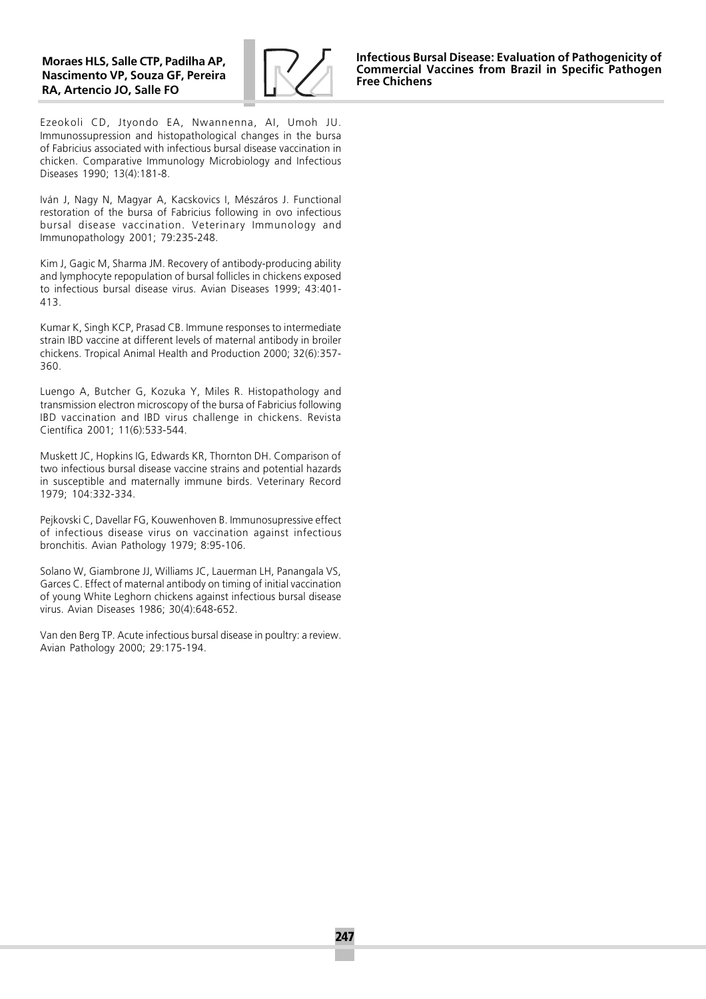

Ezeokoli CD, Jtyondo EA, Nwannenna, AI, Umoh JU. Immunossupression and histopathological changes in the bursa of Fabricius associated with infectious bursal disease vaccination in chicken. Comparative Immunology Microbiology and Infectious Diseases 1990; 13(4):181-8.

Iván J, Nagy N, Magyar A, Kacskovics I, Mészáros J. Functional restoration of the bursa of Fabricius following in ovo infectious bursal disease vaccination. Veterinary Immunology and Immunopathology 2001; 79:235-248.

Kim J, Gagic M, Sharma JM. Recovery of antibody-producing ability and lymphocyte repopulation of bursal follicles in chickens exposed to infectious bursal disease virus. Avian Diseases 1999; 43:401- 413.

Kumar K, Singh KCP, Prasad CB. Immune responses to intermediate strain IBD vaccine at different levels of maternal antibody in broiler chickens. Tropical Animal Health and Production 2000; 32(6):357- 360.

Luengo A, Butcher G, Kozuka Y, Miles R. Histopathology and transmission electron microscopy of the bursa of Fabricius following IBD vaccination and IBD virus challenge in chickens. Revista Científica 2001; 11(6):533-544.

Muskett JC, Hopkins IG, Edwards KR, Thornton DH. Comparison of two infectious bursal disease vaccine strains and potential hazards in susceptible and maternally immune birds. Veterinary Record 1979; 104:332-334.

Pejkovski C, Davellar FG, Kouwenhoven B. Immunosupressive effect of infectious disease virus on vaccination against infectious bronchitis. Avian Pathology 1979; 8:95-106.

Solano W, Giambrone JJ, Williams JC, Lauerman LH, Panangala VS, Garces C. Effect of maternal antibody on timing of initial vaccination of young White Leghorn chickens against infectious bursal disease virus. Avian Diseases 1986; 30(4):648-652.

Van den Berg TP. Acute infectious bursal disease in poultry: a review. Avian Pathology 2000; 29:175-194.